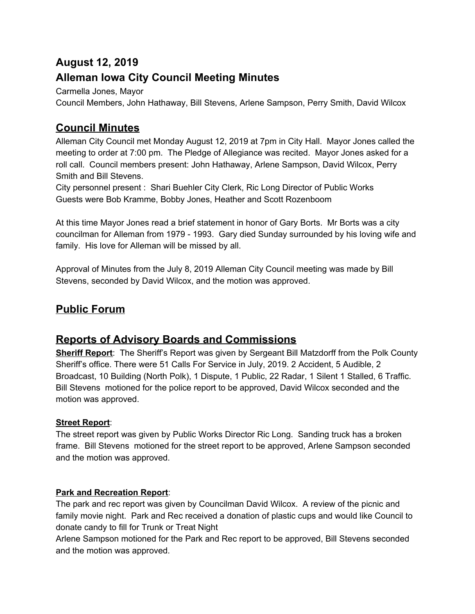# **August 12, 2019 Alleman Iowa City Council Meeting Minutes**

Carmella Jones, Mayor

Council Members, John Hathaway, Bill Stevens, Arlene Sampson, Perry Smith, David Wilcox

## **Council Minutes**

Alleman City Council met Monday August 12, 2019 at 7pm in City Hall. Mayor Jones called the meeting to order at 7:00 pm. The Pledge of Allegiance was recited. Mayor Jones asked for a roll call. Council members present: John Hathaway, Arlene Sampson, David Wilcox, Perry Smith and Bill Stevens.

City personnel present : Shari Buehler City Clerk, Ric Long Director of Public Works Guests were Bob Kramme, Bobby Jones, Heather and Scott Rozenboom

At this time Mayor Jones read a brief statement in honor of Gary Borts. Mr Borts was a city councilman for Alleman from 1979 - 1993. Gary died Sunday surrounded by his loving wife and family. His love for Alleman will be missed by all.

Approval of Minutes from the July 8, 2019 Alleman City Council meeting was made by Bill Stevens, seconded by David Wilcox, and the motion was approved.

## **Public Forum**

## **Reports of Advisory Boards and Commissions**

**Sheriff Report**: The Sheriff's Report was given by Sergeant Bill Matzdorff from the Polk County Sheriff's office. There were 51 Calls For Service in July, 2019. 2 Accident, 5 Audible, 2 Broadcast, 10 Building (North Polk), 1 Dispute, 1 Public, 22 Radar, 1 Silent 1 Stalled, 6 Traffic. Bill Stevens motioned for the police report to be approved, David Wilcox seconded and the motion was approved.

### **Street Report**:

The street report was given by Public Works Director Ric Long. Sanding truck has a broken frame. Bill Stevens motioned for the street report to be approved, Arlene Sampson seconded and the motion was approved.

### **Park and Recreation Report**:

The park and rec report was given by Councilman David Wilcox. A review of the picnic and family movie night. Park and Rec received a donation of plastic cups and would like Council to donate candy to fill for Trunk or Treat Night

Arlene Sampson motioned for the Park and Rec report to be approved, Bill Stevens seconded and the motion was approved.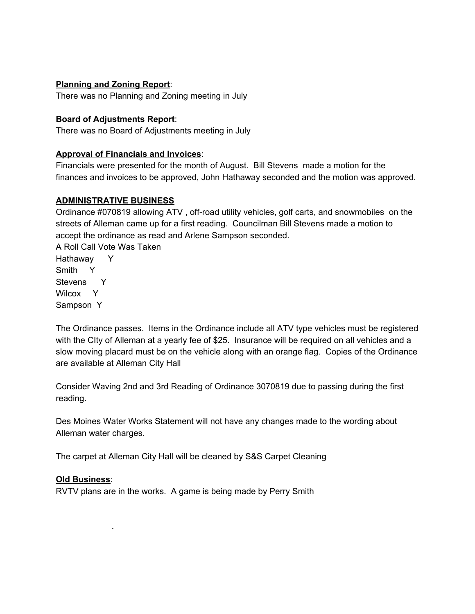#### **Planning and Zoning Report**:

There was no Planning and Zoning meeting in July

#### **Board of Adjustments Report**:

There was no Board of Adjustments meeting in July

#### **Approval of Financials and Invoices**:

Financials were presented for the month of August. Bill Stevens made a motion for the finances and invoices to be approved, John Hathaway seconded and the motion was approved.

#### **ADMINISTRATIVE BUSINESS**

Ordinance #070819 allowing ATV , off-road utility vehicles, golf carts, and snowmobiles on the streets of Alleman came up for a first reading. Councilman Bill Stevens made a motion to accept the ordinance as read and Arlene Sampson seconded.

A Roll Call Vote Was Taken Hathaway Y Smith Y Stevens Y Wilcox Y Sampson Y

The Ordinance passes. Items in the Ordinance include all ATV type vehicles must be registered with the CIty of Alleman at a yearly fee of \$25. Insurance will be required on all vehicles and a slow moving placard must be on the vehicle along with an orange flag. Copies of the Ordinance are available at Alleman City Hall

Consider Waving 2nd and 3rd Reading of Ordinance 3070819 due to passing during the first reading.

Des Moines Water Works Statement will not have any changes made to the wording about Alleman water charges.

The carpet at Alleman City Hall will be cleaned by S&S Carpet Cleaning

#### **Old Business**:

.

RVTV plans are in the works. A game is being made by Perry Smith